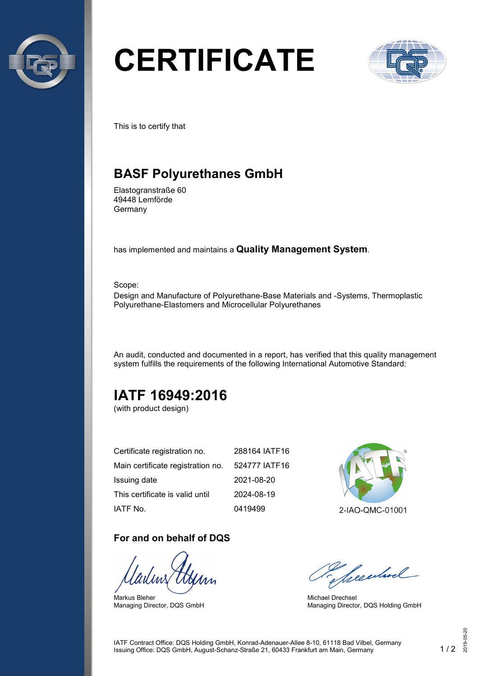

# **CERTIFICATE**



This is to certify that

## **BASF Polyurethanes GmbH**

Elastogranstraße 60 49448 Lemförde Germany

has implemented and maintains a **Quality Management System**.

Scope:

Design and Manufacture of Polyurethane-Base Materials and -Systems, Thermoplastic Polyurethane-Elastomers and Microcellular Polyurethanes

An audit, conducted and documented in a report, has verified that this quality management system fulfills the requirements of the following International Automotive Standard:

# **IATF 16949:2016**

(with product design)

| Certificate registration no.      | 288164 IATF16 |
|-----------------------------------|---------------|
| Main certificate registration no. | 524777 IATF16 |
| Issuing date                      | 2021-08-20    |
| This certificate is valid until   | 2024-08-19    |
| IATF No.                          | 0419499       |

#### **For and on behalf of DQS**

Markus Bleher Managing Director, DQS GmbH



2-IAO-QMC-01001

Seculard

Michael Drechsel Managing Director, DQS Holding GmbH

IATF Contract Office: DQS Holding GmbH, Konrad-Adenauer-Allee 8-10, 61118 Bad Vilbel, Germany Issuing Office: DQS GmbH, August-Schanz-Straße 21, 60433 Frankfurt am Main, Germany 1 / 2